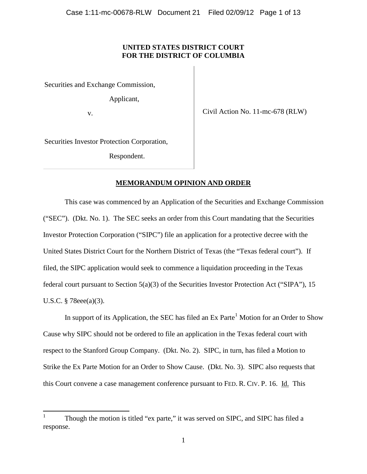## **UNITED STATES DISTRICT COURT FOR THE DISTRICT OF COLUMBIA**

Securities and Exchange Commission,

Applicant,

v.

Civil Action No. 11-mc-678 (RLW)

Securities Investor Protection Corporation,

Respondent.

### **MEMORANDUM OPINION AND ORDER**

This case was commenced by an Application of the Securities and Exchange Commission ("SEC"). (Dkt. No. 1). The SEC seeks an order from this Court mandating that the Securities Investor Protection Corporation ("SIPC") file an application for a protective decree with the United States District Court for the Northern District of Texas (the "Texas federal court"). If filed, the SIPC application would seek to commence a liquidation proceeding in the Texas federal court pursuant to Section 5(a)(3) of the Securities Investor Protection Act ("SIPA"), 15 U.S.C. § 78eee(a)(3).

In support of its Application, the SEC has filed an Ex Parte<sup>[1](#page-0-0)</sup> Motion for an Order to Show Cause why SIPC should not be ordered to file an application in the Texas federal court with respect to the Stanford Group Company. (Dkt. No. 2). SIPC, in turn, has filed a Motion to Strike the Ex Parte Motion for an Order to Show Cause. (Dkt. No. 3). SIPC also requests that this Court convene a case management conference pursuant to FED. R. CIV. P. 16. Id. This

<span id="page-0-1"></span><span id="page-0-0"></span><sup>1</sup> Though the motion is titled "ex parte," it was served on SIPC, and SIPC has filed a response.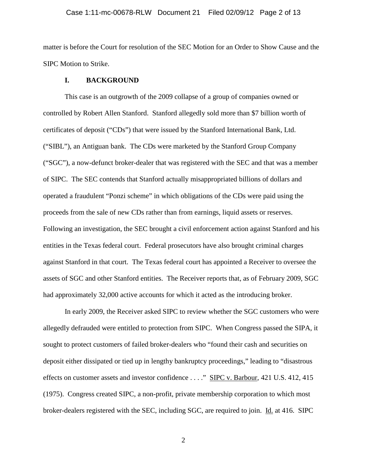#### Case 1:11-mc-00678-RLW Document 21 Filed 02/09/12 Page 2 of 13

matter is before the Court for resolution of the SEC Motion for an Order to Show Cause and the SIPC Motion to Strike.

### **I. BACKGROUND**

This case is an outgrowth of the 2009 collapse of a group of companies owned or controlled by Robert Allen Stanford. Stanford allegedly sold more than \$7 billion worth of certificates of deposit ("CDs") that were issued by the Stanford International Bank, Ltd. ("SIBL"), an Antiguan bank. The CDs were marketed by the Stanford Group Company ("SGC"), a now-defunct broker-dealer that was registered with the SEC and that was a member of SIPC. The SEC contends that Stanford actually misappropriated billions of dollars and operated a fraudulent "Ponzi scheme" in which obligations of the CDs were paid using the proceeds from the sale of new CDs rather than from earnings, liquid assets or reserves. Following an investigation, the SEC brought a civil enforcement action against Stanford and his entities in the Texas federal court. Federal prosecutors have also brought criminal charges against Stanford in that court. The Texas federal court has appointed a Receiver to oversee the assets of SGC and other Stanford entities. The Receiver reports that, as of February 2009, SGC had approximately 32,000 active accounts for which it acted as the introducing broker.

In early 2009, the Receiver asked SIPC to review whether the SGC customers who were allegedly defrauded were entitled to protection from SIPC. When Congress passed the SIPA, it sought to protect customers of failed broker-dealers who "found their cash and securities on deposit either dissipated or tied up in lengthy bankruptcy proceedings," leading to "disastrous effects on customer assets and investor confidence . . . ." SIPC v. Barbour, 421 U.S. 412, 415 (1975). Congress created SIPC, a non-profit, private membership corporation to which most broker-dealers registered with the SEC, including SGC, are required to join. Id. at 416. SIPC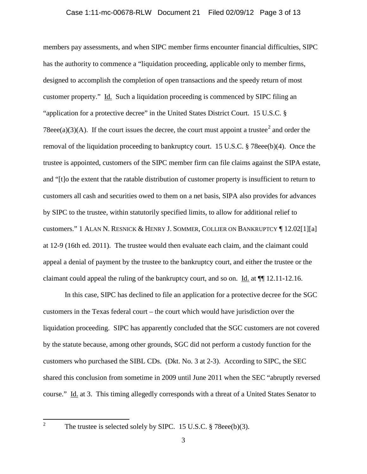#### Case 1:11-mc-00678-RLW Document 21 Filed 02/09/12 Page 3 of 13

members pay assessments, and when SIPC member firms encounter financial difficulties, SIPC has the authority to commence a "liquidation proceeding, applicable only to member firms, designed to accomplish the completion of open transactions and the speedy return of most customer property." Id. Such a liquidation proceeding is commenced by SIPC filing an "application for a protective decree" in the United States District Court. 15 U.S.C. § 78eee(a)(3)(A). If the court issues the decree, the court must appoint a trustee<sup>[2](#page-0-1)</sup> and order the removal of the liquidation proceeding to bankruptcy court. 15 U.S.C. § 78eee(b)(4). Once the trustee is appointed, customers of the SIPC member firm can file claims against the SIPA estate, and "[t]o the extent that the ratable distribution of customer property is insufficient to return to customers all cash and securities owed to them on a net basis, SIPA also provides for advances by SIPC to the trustee, within statutorily specified limits, to allow for additional relief to customers." 1 ALAN N. RESNICK & HENRY J. SOMMER, COLLIER ON BANKRUPTCY ¶ 12.02[1][a] at 12-9 (16th ed. 2011). The trustee would then evaluate each claim, and the claimant could appeal a denial of payment by the trustee to the bankruptcy court, and either the trustee or the claimant could appeal the ruling of the bankruptcy court, and so on. Id. at ¶¶ 12.11-12.16.

In this case, SIPC has declined to file an application for a protective decree for the SGC customers in the Texas federal court – the court which would have jurisdiction over the liquidation proceeding. SIPC has apparently concluded that the SGC customers are not covered by the statute because, among other grounds, SGC did not perform a custody function for the customers who purchased the SIBL CDs. (Dkt. No. 3 at 2-3). According to SIPC, the SEC shared this conclusion from sometime in 2009 until June 2011 when the SEC "abruptly reversed course." Id. at 3. This timing allegedly corresponds with a threat of a United States Senator to

<span id="page-2-0"></span><sup>&</sup>lt;sup>2</sup> The trustee is selected solely by SIPC. 15 U.S.C. § 78eee(b)(3).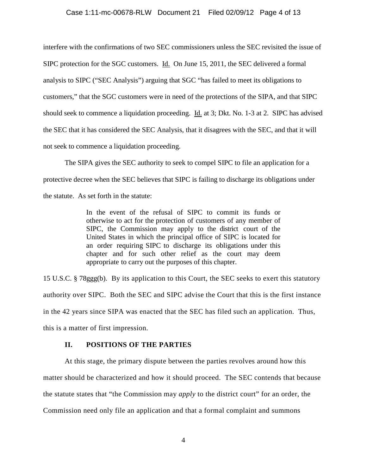### Case 1:11-mc-00678-RLW Document 21 Filed 02/09/12 Page 4 of 13

interfere with the confirmations of two SEC commissioners unless the SEC revisited the issue of SIPC protection for the SGC customers. Id. On June 15, 2011, the SEC delivered a formal analysis to SIPC ("SEC Analysis") arguing that SGC "has failed to meet its obligations to customers," that the SGC customers were in need of the protections of the SIPA, and that SIPC should seek to commence a liquidation proceeding. Id. at 3; Dkt. No. 1-3 at 2. SIPC has advised the SEC that it has considered the SEC Analysis, that it disagrees with the SEC, and that it will not seek to commence a liquidation proceeding.

The SIPA gives the SEC authority to seek to compel SIPC to file an application for a protective decree when the SEC believes that SIPC is failing to discharge its obligations under the statute. As set forth in the statute:

> In the event of the refusal of SIPC to commit its funds or otherwise to act for the protection of customers of any member of SIPC, the Commission may apply to the district court of the United States in which the principal office of SIPC is located for an order requiring SIPC to discharge its obligations under this chapter and for such other relief as the court may deem appropriate to carry out the purposes of this chapter.

15 U.S.C. § 78ggg(b). By its application to this Court, the SEC seeks to exert this statutory authority over SIPC. Both the SEC and SIPC advise the Court that this is the first instance in the 42 years since SIPA was enacted that the SEC has filed such an application. Thus, this is a matter of first impression.

#### **II. POSITIONS OF THE PARTIES**

At this stage, the primary dispute between the parties revolves around how this matter should be characterized and how it should proceed. The SEC contends that because the statute states that "the Commission may *apply* to the district court" for an order, the Commission need only file an application and that a formal complaint and summons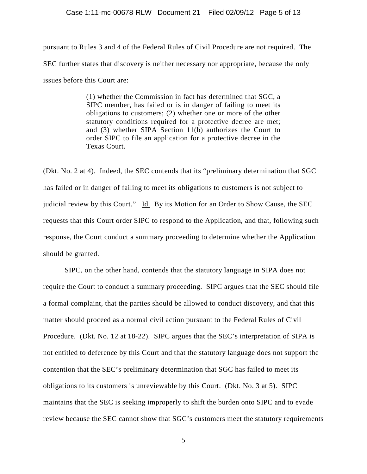### Case 1:11-mc-00678-RLW Document 21 Filed 02/09/12 Page 5 of 13

pursuant to Rules 3 and 4 of the Federal Rules of Civil Procedure are not required. The SEC further states that discovery is neither necessary nor appropriate, because the only issues before this Court are:

> (1) whether the Commission in fact has determined that SGC, a SIPC member, has failed or is in danger of failing to meet its obligations to customers; (2) whether one or more of the other statutory conditions required for a protective decree are met; and (3) whether SIPA Section 11(b) authorizes the Court to order SIPC to file an application for a protective decree in the Texas Court.

(Dkt. No. 2 at 4). Indeed, the SEC contends that its "preliminary determination that SGC has failed or in danger of failing to meet its obligations to customers is not subject to judicial review by this Court." Id. By its Motion for an Order to Show Cause, the SEC requests that this Court order SIPC to respond to the Application, and that, following such response, the Court conduct a summary proceeding to determine whether the Application should be granted.

SIPC, on the other hand, contends that the statutory language in SIPA does not require the Court to conduct a summary proceeding. SIPC argues that the SEC should file a formal complaint, that the parties should be allowed to conduct discovery, and that this matter should proceed as a normal civil action pursuant to the Federal Rules of Civil Procedure. (Dkt. No. 12 at 18-22). SIPC argues that the SEC's interpretation of SIPA is not entitled to deference by this Court and that the statutory language does not support the contention that the SEC's preliminary determination that SGC has failed to meet its obligations to its customers is unreviewable by this Court. (Dkt. No. 3 at 5). SIPC maintains that the SEC is seeking improperly to shift the burden onto SIPC and to evade review because the SEC cannot show that SGC's customers meet the statutory requirements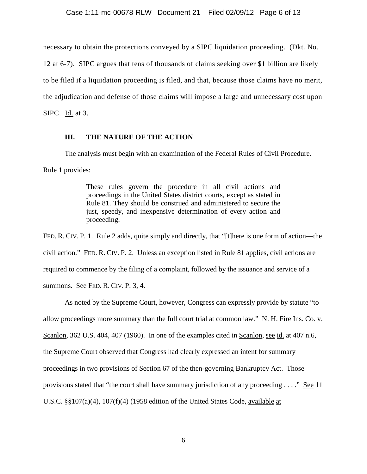necessary to obtain the protections conveyed by a SIPC liquidation proceeding. (Dkt. No.

12 at 6-7). SIPC argues that tens of thousands of claims seeking over \$1 billion are likely

to be filed if a liquidation proceeding is filed, and that, because those claims have no merit,

the adjudication and defense of those claims will impose a large and unnecessary cost upon

SIPC. Id. at 3.

### **III. THE NATURE OF THE ACTION**

The analysis must begin with an examination of the Federal Rules of Civil Procedure.

Rule 1 provides:

These rules govern the procedure in all civil actions and proceedings in the United States district courts, except as stated in Rule 81. They should be construed and administered to secure the just, speedy, and inexpensive determination of every action and proceeding.

FED. R. CIV. P. 1. Rule 2 adds, quite simply and directly, that "[t]here is one form of action—the civil action." FED. R. CIV. P. 2. Unless an exception listed in Rule 81 applies, civil actions are required to commence by the filing of a complaint, followed by the issuance and service of a summons. See FED. R. CIV. P. 3, 4.

As noted by the Supreme Court, however, Congress can expressly provide by statute "to allow proceedings more summary than the full court trial at common law."  $N$ . H. Fire Ins. Co. v. Scanlon, 362 U.S. 404, 407 (1960). In one of the examples cited in Scanlon, see id. at 407 n.6, the Supreme Court observed that Congress had clearly expressed an intent for summary proceedings in two provisions of Section 67 of the then-governing Bankruptcy Act. Those provisions stated that "the court shall have summary jurisdiction of any proceeding . . . ." See 11 U.S.C. §§107(a)(4), 107(f)(4) (1958 edition of the United States Code, available at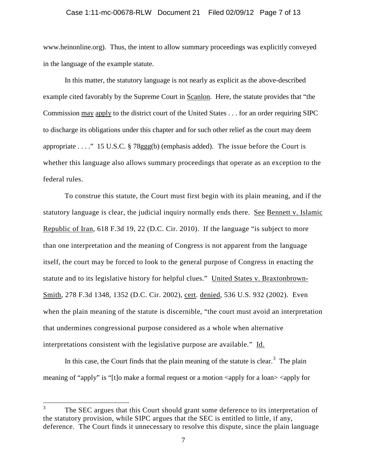#### Case 1:11-mc-00678-RLW Document 21 Filed 02/09/12 Page 7 of 13

www.heinonline.org). Thus, the intent to allow summary proceedings was explicitly conveyed in the language of the example statute.

In this matter, the statutory language is not nearly as explicit as the above-described example cited favorably by the Supreme Court in Scanlon. Here, the statute provides that "the Commission may apply to the district court of the United States . . . for an order requiring SIPC to discharge its obligations under this chapter and for such other relief as the court may deem appropriate . . . ." 15 U.S.C. § 78ggg(b) (emphasis added). The issue before the Court is whether this language also allows summary proceedings that operate as an exception to the federal rules.

To construe this statute, the Court must first begin with its plain meaning, and if the statutory language is clear, the judicial inquiry normally ends there. See Bennett v. Islamic Republic of Iran, 618 F.3d 19, 22 (D.C. Cir. 2010). If the language "is subject to more than one interpretation and the meaning of Congress is not apparent from the language itself, the court may be forced to look to the general purpose of Congress in enacting the statute and to its legislative history for helpful clues." United States v. Braxtonbrown-Smith, 278 F.3d 1348, 1352 (D.C. Cir. 2002), cert. denied, 536 U.S. 932 (2002). Even when the plain meaning of the statute is discernible, "the court must avoid an interpretation that undermines congressional purpose considered as a whole when alternative interpretations consistent with the legislative purpose are available." Id.

<span id="page-6-0"></span>In this case, the Court finds that the plain meaning of the statute is clear.<sup>[3](#page-2-0)</sup> The plain meaning of "apply" is "[t]o make a formal request or a motion  $\langle$ apply for a loan $>$  $\langle$ apply for

<sup>&</sup>lt;sup>3</sup> The SEC argues that this Court should grant some deference to its interpretation of the statutory provision, while SIPC argues that the SEC is entitled to little, if any, deference. The Court finds it unnecessary to resolve this dispute, since the plain language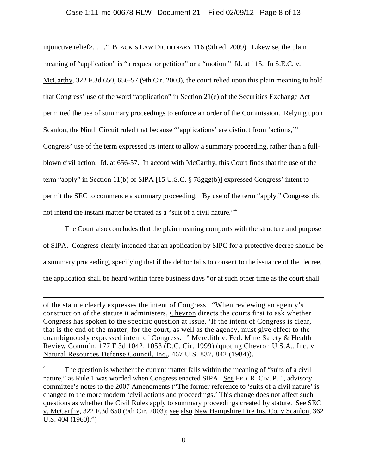### Case 1:11-mc-00678-RLW Document 21 Filed 02/09/12 Page 8 of 13

injunctive relief>. . . ." BLACK'S LAW DICTIONARY 116 (9th ed. 2009). Likewise, the plain meaning of "application" is "a request or petition" or a "motion." Id. at 115. In S.E.C. v. McCarthy, 322 F.3d 650, 656-57 (9th Cir. 2003), the court relied upon this plain meaning to hold that Congress' use of the word "application" in Section 21(e) of the Securities Exchange Act permitted the use of summary proceedings to enforce an order of the Commission. Relying upon Scanlon, the Ninth Circuit ruled that because "'applications' are distinct from 'actions,'" Congress' use of the term expressed its intent to allow a summary proceeding, rather than a fullblown civil action. Id. at 656-57. In accord with McCarthy, this Court finds that the use of the term "apply" in Section 11(b) of SIPA [15 U.S.C. § 78ggg(b)] expressed Congress' intent to permit the SEC to commence a summary proceeding. By use of the term "apply," Congress did not intend the instant matter be treated as a "suit of a civil nature."<sup>[4](#page-6-0)</sup>

The Court also concludes that the plain meaning comports with the structure and purpose of SIPA. Congress clearly intended that an application by SIPC for a protective decree should be a summary proceeding, specifying that if the debtor fails to consent to the issuance of the decree, the application shall be heard within three business days "or at such other time as the court shall

of the statute clearly expresses the intent of Congress. "When reviewing an agency's construction of the statute it administers, Chevron directs the courts first to ask whether Congress has spoken to the specific question at issue. 'If the intent of Congress is clear, that is the end of the matter; for the court, as well as the agency, must give effect to the unambiguously expressed intent of Congress.' " Meredith v. Fed. Mine Safety & Health Review Comm'n, 177 F.3d 1042, 1053 (D.C. Cir. 1999) (quoting Chevron U.S.A., Inc. v. Natural Resources Defense Council, Inc., 467 U.S. 837, 842 (1984)).

 $\overline{\phantom{a}}$ 

<span id="page-7-0"></span> $4\degree$  The question is whether the current matter falls within the meaning of "suits of a civil" nature," as Rule 1 was worded when Congress enacted SIPA. See FED. R. CIV. P. 1, advisory committee's notes to the 2007 Amendments ("The former reference to 'suits of a civil nature' is changed to the more modern 'civil actions and proceedings.' This change does not affect such questions as whether the Civil Rules apply to summary proceedings created by statute. See SEC v. McCarthy, 322 F.3d 650 (9th Cir. 2003); see also New Hampshire Fire Ins. Co. v Scanlon, 362 U.S. 404 (1960).")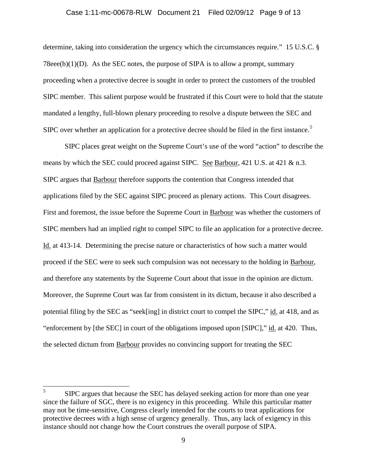#### Case 1:11-mc-00678-RLW Document 21 Filed 02/09/12 Page 9 of 13

determine, taking into consideration the urgency which the circumstances require." 15 U.S.C. § 78eee(b) $(1)(D)$ . As the SEC notes, the purpose of SIPA is to allow a prompt, summary proceeding when a protective decree is sought in order to protect the customers of the troubled SIPC member. This salient purpose would be frustrated if this Court were to hold that the statute mandated a lengthy, full-blown plenary proceeding to resolve a dispute between the SEC and SIPC over whether an application for a protective decree should be filed in the first instance.<sup>[5](#page-7-0)</sup>

SIPC places great weight on the Supreme Court's use of the word "action" to describe the means by which the SEC could proceed against SIPC. See Barbour, 421 U.S. at 421 & n.3. SIPC argues that Barbour therefore supports the contention that Congress intended that applications filed by the SEC against SIPC proceed as plenary actions. This Court disagrees. First and foremost, the issue before the Supreme Court in Barbour was whether the customers of SIPC members had an implied right to compel SIPC to file an application for a protective decree. Id. at 413-14. Determining the precise nature or characteristics of how such a matter would proceed if the SEC were to seek such compulsion was not necessary to the holding in Barbour, and therefore any statements by the Supreme Court about that issue in the opinion are dictum. Moreover, the Supreme Court was far from consistent in its dictum, because it also described a potential filing by the SEC as "seek[ing] in district court to compel the SIPC," id. at 418, and as "enforcement by [the SEC] in court of the obligations imposed upon [SIPC]," id. at 420. Thus, the selected dictum from Barbour provides no convincing support for treating the SEC

<span id="page-8-0"></span><sup>&</sup>lt;sup>5</sup> SIPC argues that because the SEC has delayed seeking action for more than one year since the failure of SGC, there is no exigency in this proceeding. While this particular matter may not be time-sensitive, Congress clearly intended for the courts to treat applications for protective decrees with a high sense of urgency generally. Thus, any lack of exigency in this instance should not change how the Court construes the overall purpose of SIPA.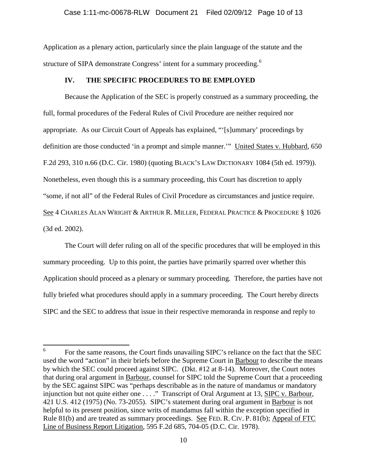Application as a plenary action, particularly since the plain language of the statute and the structure of SIPA demonstrate Congress' intent for a summary proceeding.<sup>[6](#page-8-0)</sup>

# **IV. THE SPECIFIC PROCEDURES TO BE EMPLOYED**

Because the Application of the SEC is properly construed as a summary proceeding, the full, formal procedures of the Federal Rules of Civil Procedure are neither required nor appropriate. As our Circuit Court of Appeals has explained, "'[s]ummary' proceedings by definition are those conducted 'in a prompt and simple manner.'" United States v. Hubbard, 650 F.2d 293, 310 n.66 (D.C. Cir. 1980) (quoting BLACK'S LAW DICTIONARY 1084 (5th ed. 1979)). Nonetheless, even though this is a summary proceeding, this Court has discretion to apply "some, if not all" of the Federal Rules of Civil Procedure as circumstances and justice require. See 4 CHARLES ALAN WRIGHT & ARTHUR R. MILLER, FEDERAL PRACTICE & PROCEDURE § 1026 (3d ed. 2002).

The Court will defer ruling on all of the specific procedures that will be employed in this summary proceeding. Up to this point, the parties have primarily sparred over whether this Application should proceed as a plenary or summary proceeding. Therefore, the parties have not fully briefed what procedures should apply in a summary proceeding. The Court hereby directs SIPC and the SEC to address that issue in their respective memoranda in response and reply to

<sup>&</sup>lt;sup>6</sup> For the same reasons, the Court finds unavailing SIPC's reliance on the fact that the SEC used the word "action" in their briefs before the Supreme Court in Barbour to describe the means by which the SEC could proceed against SIPC. (Dkt. #12 at 8-14). Moreover, the Court notes that during oral argument in Barbour, counsel for SIPC told the Supreme Court that a proceeding by the SEC against SIPC was "perhaps describable as in the nature of mandamus or mandatory injunction but not quite either one . . . ." Transcript of Oral Argument at 13, SIPC v. Barbour, 421 U.S. 412 (1975) (No. 73-2055). SIPC's statement during oral argument in Barbour is not helpful to its present position, since writs of mandamus fall within the exception specified in Rule 81(b) and are treated as summary proceedings. See FED. R. CIV. P. 81(b); Appeal of FTC Line of Business Report Litigation, 595 F.2d 685, 704-05 (D.C. Cir. 1978).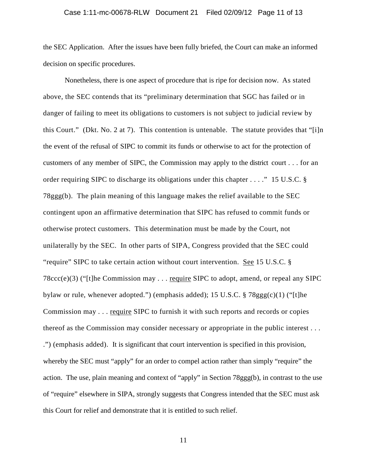#### Case 1:11-mc-00678-RLW Document 21 Filed 02/09/12 Page 11 of 13

the SEC Application. After the issues have been fully briefed, the Court can make an informed decision on specific procedures.

Nonetheless, there is one aspect of procedure that is ripe for decision now. As stated above, the SEC contends that its "preliminary determination that SGC has failed or in danger of failing to meet its obligations to customers is not subject to judicial review by this Court." (Dkt. No. 2 at 7). This contention is untenable. The statute provides that "[i]n the event of the refusal of SIPC to commit its funds or otherwise to act for the protection of customers of any member of SIPC, the Commission may apply to the district court . . . for an order requiring SIPC to discharge its obligations under this chapter . . . ." 15 U.S.C. § 78ggg(b). The plain meaning of this language makes the relief available to the SEC contingent upon an affirmative determination that SIPC has refused to commit funds or otherwise protect customers. This determination must be made by the Court, not unilaterally by the SEC. In other parts of SIPA, Congress provided that the SEC could "require" SIPC to take certain action without court intervention. See 15 U.S.C. § 78ccc(e)(3) ("[t]he Commission may . . . require SIPC to adopt, amend, or repeal any SIPC bylaw or rule, whenever adopted.") (emphasis added); 15 U.S.C. § 78ggg(c)(1) ("[t]he Commission may . . . require SIPC to furnish it with such reports and records or copies thereof as the Commission may consider necessary or appropriate in the public interest . . . .") (emphasis added). It is significant that court intervention is specified in this provision, whereby the SEC must "apply" for an order to compel action rather than simply "require" the action. The use, plain meaning and context of "apply" in Section 78ggg(b), in contrast to the use of "require" elsewhere in SIPA, strongly suggests that Congress intended that the SEC must ask this Court for relief and demonstrate that it is entitled to such relief.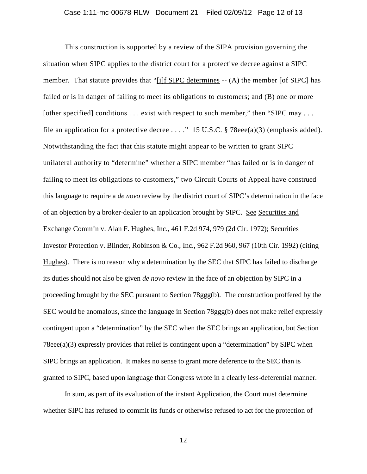This construction is supported by a review of the SIPA provision governing the situation when SIPC applies to the district court for a protective decree against a SIPC member. That statute provides that "[i]f SIPC determines -- (A) the member [of SIPC] has failed or is in danger of failing to meet its obligations to customers; and (B) one or more [other specified] conditions . . . exist with respect to such member," then "SIPC may . . . file an application for a protective decree . . . ." 15 U.S.C.  $\S$  78eee(a)(3) (emphasis added). Notwithstanding the fact that this statute might appear to be written to grant SIPC unilateral authority to "determine" whether a SIPC member "has failed or is in danger of failing to meet its obligations to customers," two Circuit Courts of Appeal have construed this language to require a *de novo* review by the district court of SIPC's determination in the face of an objection by a broker-dealer to an application brought by SIPC. See Securities and Exchange Comm'n v. Alan F. Hughes, Inc., 461 F.2d 974, 979 (2d Cir. 1972); Securities Investor Protection v. Blinder, Robinson & Co., Inc., 962 F.2d 960, 967 (10th Cir. 1992) (citing Hughes). There is no reason why a determination by the SEC that SIPC has failed to discharge its duties should not also be given *de novo* review in the face of an objection by SIPC in a proceeding brought by the SEC pursuant to Section 78ggg(b). The construction proffered by the SEC would be anomalous, since the language in Section 78ggg(b) does not make relief expressly contingent upon a "determination" by the SEC when the SEC brings an application, but Section 78eee(a)(3) expressly provides that relief is contingent upon a "determination" by SIPC when SIPC brings an application. It makes no sense to grant more deference to the SEC than is granted to SIPC, based upon language that Congress wrote in a clearly less-deferential manner.

In sum, as part of its evaluation of the instant Application, the Court must determine whether SIPC has refused to commit its funds or otherwise refused to act for the protection of